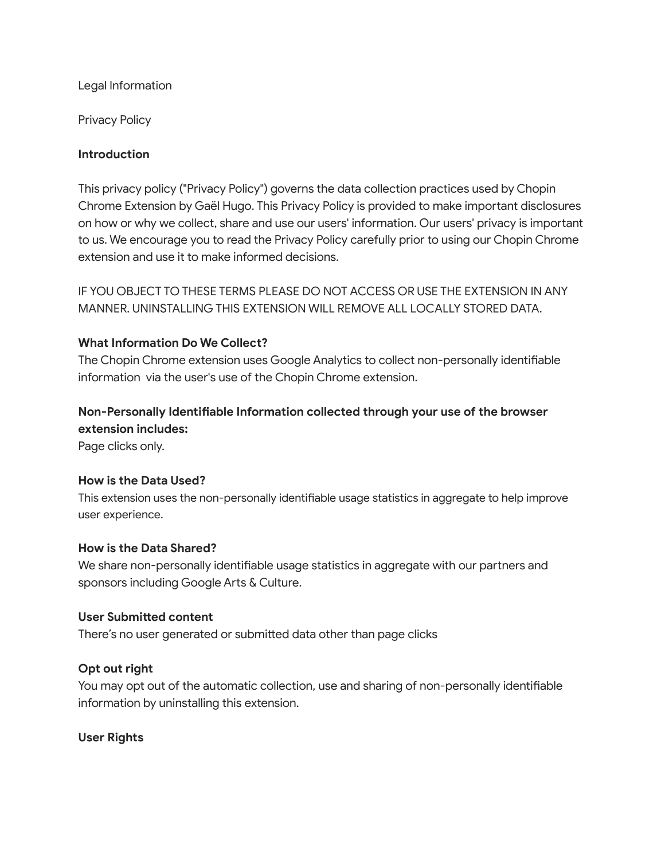# Legal Information

Privacy Policy

# **Introduction**

This privacy policy ("Privacy Policy") governs the data collection practices used by Chopin Chrome Extension by Gaël Hugo. This Privacy Policy is provided to make important disclosures on how or why we collect, share and use our users' information. Our users' privacy is important to us. We encourage you to read the Privacy Policy carefully prior to using our Chopin Chrome extension and use it to make informed decisions.

IF YOU OBJECT TO THESE TERMS PLEASE DO NOT ACCESS OR USE THE EXTENSION IN ANY MANNER. UNINSTALLING THIS EXTENSION WILL REMOVE ALL LOCALLY STORED DATA.

# **What Information Do We Collect?**

The Chopin Chrome extension uses Google Analytics to collect non-personally identifiable information via the user's use of the Chopin Chrome extension.

# **Non-Personally Identifiable Information collected through your use of the browser extension includes:**

Page clicks only.

#### **How is the Data Used?**

This extension uses the non-personally identifiable usage statistics in aggregate to help improve user experience.

#### **How is the Data Shared?**

We share non-personally identifiable usage statistics in aggregate with our partners and sponsors including Google Arts & Culture.

#### **User Submitted content**

There's no user generated or submitted data other than page clicks

# **Opt out right**

You may opt out of the automatic collection, use and sharing of non-personally identifiable information by uninstalling this extension.

#### **User Rights**